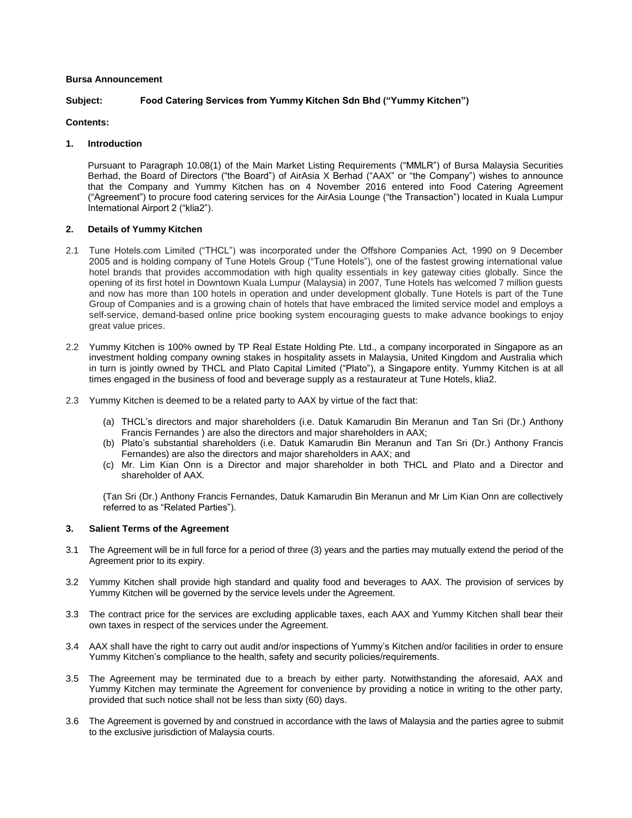### **Bursa Announcement**

# **Subject: Food Catering Services from Yummy Kitchen Sdn Bhd ("Yummy Kitchen")**

# **Contents:**

# **1. Introduction**

Pursuant to Paragraph 10.08(1) of the Main Market Listing Requirements ("MMLR") of Bursa Malaysia Securities Berhad, the Board of Directors ("the Board") of AirAsia X Berhad ("AAX" or "the Company") wishes to announce that the Company and Yummy Kitchen has on 4 November 2016 entered into Food Catering Agreement ("Agreement") to procure food catering services for the AirAsia Lounge ("the Transaction") located in Kuala Lumpur International Airport 2 ("klia2").

## **2. Details of Yummy Kitchen**

- 2.1 Tune Hotels.com Limited ("THCL") was incorporated under the Offshore Companies Act, 1990 on 9 December 2005 and is holding company of Tune Hotels Group ("Tune Hotels"), one of the fastest growing international value hotel brands that provides accommodation with high quality essentials in key gateway cities globally. Since the opening of its first hotel in Downtown Kuala Lumpur (Malaysia) in 2007, Tune Hotels has welcomed 7 million guests and now has more than 100 hotels in operation and under development globally. Tune Hotels is part of the Tune Group of Companies and is a growing chain of hotels that have embraced the limited service model and employs a self-service, demand-based online price booking system encouraging guests to make advance bookings to enjoy great value prices.
- 2.2 Yummy Kitchen is 100% owned by TP Real Estate Holding Pte. Ltd., a company incorporated in Singapore as an investment holding company owning stakes in hospitality assets in Malaysia, United Kingdom and Australia which in turn is jointly owned by THCL and Plato Capital Limited ("Plato"), a Singapore entity. Yummy Kitchen is at all times engaged in the business of food and beverage supply as a restaurateur at Tune Hotels, klia2.
- 2.3 Yummy Kitchen is deemed to be a related party to AAX by virtue of the fact that:
	- (a) THCL's directors and major shareholders (i.e. Datuk Kamarudin Bin Meranun and Tan Sri (Dr.) Anthony Francis Fernandes ) are also the directors and major shareholders in AAX;
	- (b) Plato's substantial shareholders (i.e. Datuk Kamarudin Bin Meranun and Tan Sri (Dr.) Anthony Francis Fernandes) are also the directors and major shareholders in AAX; and
	- (c) Mr. Lim Kian Onn is a Director and major shareholder in both THCL and Plato and a Director and shareholder of AAX.

(Tan Sri (Dr.) Anthony Francis Fernandes, Datuk Kamarudin Bin Meranun and Mr Lim Kian Onn are collectively referred to as "Related Parties").

# **3. Salient Terms of the Agreement**

- 3.1 The Agreement will be in full force for a period of three (3) years and the parties may mutually extend the period of the Agreement prior to its expiry.
- 3.2 Yummy Kitchen shall provide high standard and quality food and beverages to AAX. The provision of services by Yummy Kitchen will be governed by the service levels under the Agreement.
- 3.3 The contract price for the services are excluding applicable taxes, each AAX and Yummy Kitchen shall bear their own taxes in respect of the services under the Agreement.
- 3.4 AAX shall have the right to carry out audit and/or inspections of Yummy's Kitchen and/or facilities in order to ensure Yummy Kitchen's compliance to the health, safety and security policies/requirements.
- 3.5 The Agreement may be terminated due to a breach by either party. Notwithstanding the aforesaid, AAX and Yummy Kitchen may terminate the Agreement for convenience by providing a notice in writing to the other party, provided that such notice shall not be less than sixty (60) days.
- 3.6 The Agreement is governed by and construed in accordance with the laws of Malaysia and the parties agree to submit to the exclusive jurisdiction of Malaysia courts.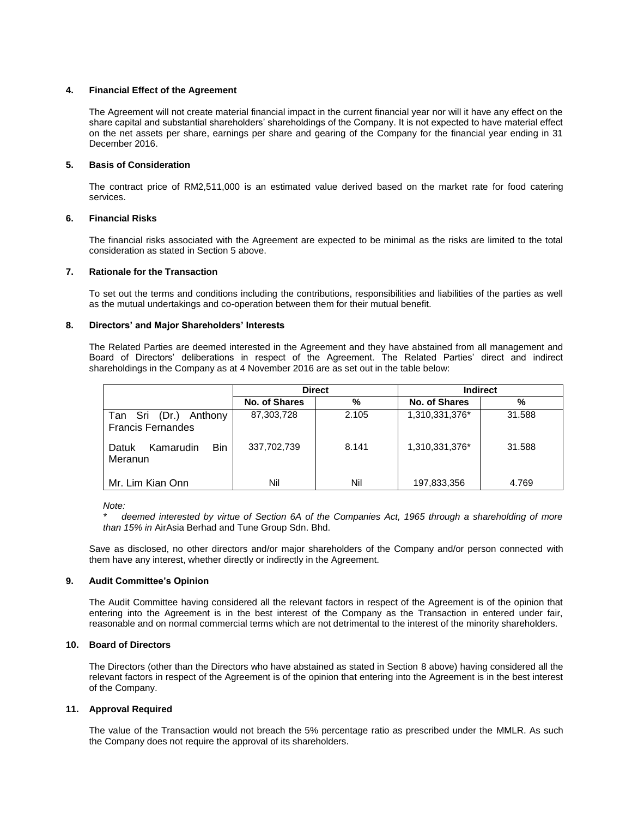### **4. Financial Effect of the Agreement**

The Agreement will not create material financial impact in the current financial year nor will it have any effect on the share capital and substantial shareholders' shareholdings of the Company. It is not expected to have material effect on the net assets per share, earnings per share and gearing of the Company for the financial year ending in 31 December 2016.

### **5. Basis of Consideration**

The contract price of RM2,511,000 is an estimated value derived based on the market rate for food catering services.

### **6. Financial Risks**

The financial risks associated with the Agreement are expected to be minimal as the risks are limited to the total consideration as stated in Section 5 above.

### **7. Rationale for the Transaction**

To set out the terms and conditions including the contributions, responsibilities and liabilities of the parties as well as the mutual undertakings and co-operation between them for their mutual benefit.

#### **8. Directors' and Major Shareholders' Interests**

The Related Parties are deemed interested in the Agreement and they have abstained from all management and Board of Directors' deliberations in respect of the Agreement. The Related Parties' direct and indirect shareholdings in the Company as at 4 November 2016 are as set out in the table below:

|                                                      | <b>Direct</b> |       | <b>Indirect</b> |        |
|------------------------------------------------------|---------------|-------|-----------------|--------|
|                                                      | No. of Shares | %     | No. of Shares   | %      |
| Anthony<br>Tan Sri (Dr.)<br><b>Francis Fernandes</b> | 87,303,728    | 2.105 | 1,310,331,376*  | 31.588 |
| Bin<br>Kamarudin<br>Datuk<br>Meranun                 | 337,702,739   | 8.141 | 1,310,331,376*  | 31.588 |
| Mr. Lim Kian Onn                                     | Nil           | Nil   | 197,833,356     | 4.769  |

*Note:*

*\* deemed interested by virtue of Section 6A of the Companies Act, 1965 through a shareholding of more than 15% in* AirAsia Berhad and Tune Group Sdn. Bhd.

Save as disclosed, no other directors and/or major shareholders of the Company and/or person connected with them have any interest, whether directly or indirectly in the Agreement.

#### **9. Audit Committee's Opinion**

The Audit Committee having considered all the relevant factors in respect of the Agreement is of the opinion that entering into the Agreement is in the best interest of the Company as the Transaction in entered under fair, reasonable and on normal commercial terms which are not detrimental to the interest of the minority shareholders.

## **10. Board of Directors**

The Directors (other than the Directors who have abstained as stated in Section 8 above) having considered all the relevant factors in respect of the Agreement is of the opinion that entering into the Agreement is in the best interest of the Company.

#### **11. Approval Required**

The value of the Transaction would not breach the 5% percentage ratio as prescribed under the MMLR. As such the Company does not require the approval of its shareholders.